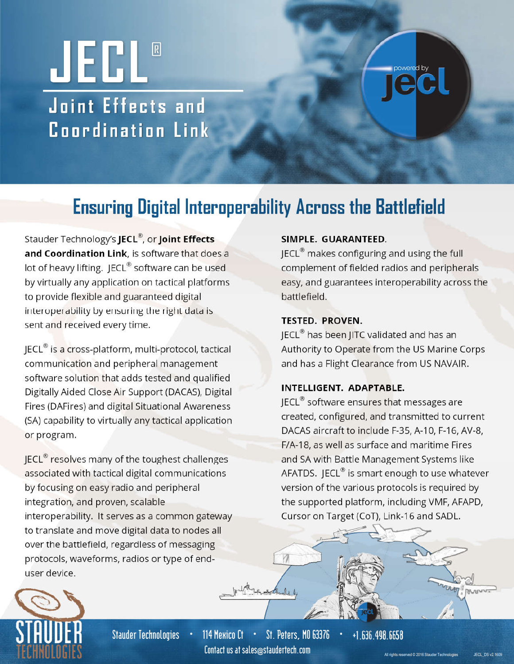# **JECL**® *<u>Joint Effects and</u>* **C o o r d i n a t i o n L i n k**

# **Ensuring Digital Interoperability Across the Battlefield**

Stauder Technology's **JECL**®, or **Joint Effects and Coordination Link**, is software that does a lot of heavy lifting. JECL® software can be used by virtually any application on tactical platforms to provide flexible and guaranteed digital interoperability by ensuring the right data is sent and received every time.

JECL® is a cross-platform, multi-protocol, tactical communication and peripheral management software solution that adds tested and qualified Digitally Aided Close Air Support (DACAS), Digital Fires (DAFires) and digital Situational Awareness (SA) capability to virtually any tactical application or program.

JECL® resolves many of the toughest challenges associated with tactical digital communications by focusing on easy radio and peripheral integration, and proven, scalable interoperability. It serves as a common gateway to translate and move digital data to nodes all over the battlefield, regardless of messaging protocols, waveforms, radios or type of enduser device.

# **SIMPLE. GUARANTEED**.

JECL® makes configuring and using the full complement of fielded radios and peripherals easy, and guarantees interoperability across the battlefield.

# **TESTED. PROVEN.**

JECL<sup>®</sup> has been JITC validated and has an Authority to Operate from the US Marine Corps and has a Flight Clearance from US NAVAIR.

# **INTELLIGENT. ADAPTABLE.**

JECL® software ensures that messages are created, configured, and transmitted to current DACAS aircraft to include F-35, A-10, F-16, AV-8, F/A-18, as well as surface and maritime Fires and SA with Battle Management Systems like AFATDS. JECL $^{\circ}$  is smart enough to use whatever version of the various protocols is required by the supported platform, including VMF, AFAPD, Cursor on Target (CoT), Link-16 and SADL.



**Stauder Technologies • 114 Mexico Ct • St. Peters, MO 63376 • +1.636.498.6658 Contact us at sales@staudertech.com All rights reserved © 2016 Stauder Technologies JECL\_DS v2.1609** 

mong over